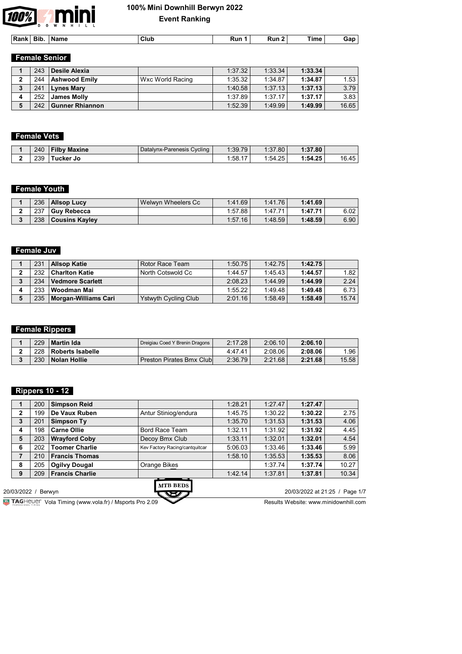

| Rank | Bir | <b>Name</b> | Club | $- - -$<br>Run 1 | ۱ın | `ime<br>$\sim$ | ⊣-iar |  |
|------|-----|-------------|------|------------------|-----|----------------|-------|--|
|      |     |             |      |                  |     |                |       |  |

# **Female Senior**

|   | 243 | Desile Alexia          |                  | 1:37.32 | 1:33.34 | 1:33.34 |       |
|---|-----|------------------------|------------------|---------|---------|---------|-------|
|   | 244 | <b>Ashwood Emily</b>   | Wxc World Racing | 1:35.32 | 1:34.87 | 1:34.87 | 1.53  |
| っ | 241 | Lynes Mary             |                  | 1:40.58 | 1:37.13 | 1:37.13 | 3.79  |
|   | 252 | <b>James Molly</b>     |                  | 1:37.89 | 1:37.17 | 1:37.17 | 3.83  |
|   | 242 | <b>Gunner Rhiannon</b> |                  | 1:52.39 | 1:49.99 | 1:49.99 | 16.65 |

## **Female Vets**

| 240 | Maxine<br>TIDV     | Datalynx-Parenesis Cycling | 1:39.79 | 1.27<br>:37.80 | l:37.80 |       |
|-----|--------------------|----------------------------|---------|----------------|---------|-------|
| 239 | <b>ucker</b><br>Jo |                            | 1:58.17 | 1:54.25        | 1:54.25 | 16.45 |

## **Female Youth**

| 236 | <b>Allsop Lucy</b>       | Welwyn Wheelers Cc. | 1:41.69 | 1:41.76 | 1:41.69 |      |
|-----|--------------------------|---------------------|---------|---------|---------|------|
| 237 | <sup>⊦</sup> Guv Rebecca |                     | 1:57.88 | 1:47.71 | 1:47.71 | 6.02 |
| 238 | <b>Cousins Kayley</b>    |                     | 1:57.16 | 1:48.59 | 1:48.59 | 6.90 |

# **Female Juv**

|   | 231 | <b>Allsop Katie</b>        | Rotor Race Team             | 1:50.75 | 1:42.75 | 1:42.75 |       |
|---|-----|----------------------------|-----------------------------|---------|---------|---------|-------|
|   | 232 | <b>Charlton Katie</b>      | North Cotswold Cc           | 1:44.57 | 1:45.43 | 1:44.57 | 1.82  |
| 2 | 234 | Vedmore Scarlett           |                             | 2:08.23 | 1:44.99 | 1:44.99 | 2.24  |
|   | 233 | Woodman Mai                |                             | 1:55.22 | 1:49.48 | 1:49.48 | 6.73  |
|   |     | 235   Morgan-Williams Cari | <b>Ystwyth Cycling Club</b> | 2:01.16 | 1:58.49 | 1:58.49 | 15.74 |

# **Female Rippers**

| 229 | <b>Martin Ida</b> | Dreigiau Coed Y Brenin Dragons | 2:17.28 | 2:06.10 | 2:06.10 |       |
|-----|-------------------|--------------------------------|---------|---------|---------|-------|
| 228 | Roberts Isabelle  |                                | 4:47.41 | 2:08.06 | 2:08.06 | .96   |
| 230 | Nolan Hollie      | Preston Pirates Bmx Clubl      | 2:36.79 | 2:21.68 | 2:21.68 | 15.58 |

## **Rippers 10 - 12**

|              | 200 | <b>Simpson Reid</b>    |                                | 1:28.21 | 1:27.47 | 1:27.47                        |       |
|--------------|-----|------------------------|--------------------------------|---------|---------|--------------------------------|-------|
| 2            | 199 | De Vaux Ruben          | Antur Stiniog/endura           | 1:45.75 | 1:30.22 | 1:30.22                        | 2.75  |
| 3            | 201 | Simpson Ty             |                                | 1:35.70 | 1:31.53 | 1:31.53                        | 4.06  |
| 4            | 198 | <b>Carne Ollie</b>     | <b>Bord Race Team</b>          | 1:32.11 | 1:31.92 | 1:31.92                        | 4.45  |
| 5            | 203 | <b>Wrayford Coby</b>   | Decoy Bmx Club                 | 1:33.11 | 1:32.01 | 1:32.01                        | 4.54  |
| 6            | 202 | <b>Toomer Charlie</b>  | Kev Factory Racing/cantquitcar | 5:06.03 | 1:33.46 | 1:33.46                        | 5.99  |
| 7            | 210 | <b>Francis Thomas</b>  |                                | 1:58.10 | 1:35.53 | 1:35.53                        | 8.06  |
| 8            | 205 | <b>Ogilvy Dougal</b>   | Orange Bikes                   |         | 1:37.74 | 1:37.74                        | 10.27 |
| 9            | 209 | <b>Francis Charlie</b> |                                | 1:42.14 | 1:37.81 | 1:37.81                        | 10.34 |
| 20/03/2022 / |     | Berwyn                 | <b>MTB BEDS</b><br>いわさんつ       |         |         | 20/03/2022 at 21:25 / Page 1/7 |       |

**Vola Timing (www.vola.fr) / Msports Pro 2.09**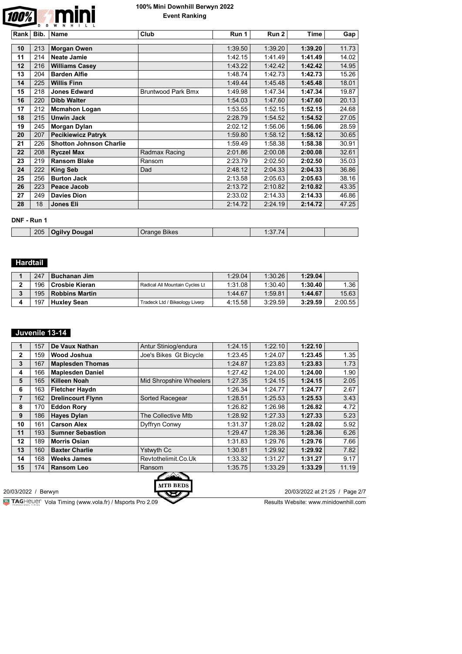

| Rank |     | Bib.   Name                    | Club                      | Run 1   | Run 2   | Time    | Gap   |
|------|-----|--------------------------------|---------------------------|---------|---------|---------|-------|
|      |     |                                |                           |         |         |         |       |
| 10   | 213 | <b>Morgan Owen</b>             |                           | 1:39.50 | 1:39.20 | 1:39.20 | 11.73 |
| 11   | 214 | <b>Neate Jamie</b>             |                           | 1:42.15 | 1:41.49 | 1:41.49 | 14.02 |
| 12   | 216 | <b>Williams Casey</b>          |                           | 1:43.22 | 1:42.42 | 1:42.42 | 14.95 |
| 13   | 204 | <b>Barden Alfie</b>            |                           | 1:48.74 | 1:42.73 | 1:42.73 | 15.26 |
| 14   | 225 | <b>Willis Finn</b>             |                           | 1:49.44 | 1:45.48 | 1:45.48 | 18.01 |
| 15   | 218 | <b>Jones Edward</b>            | <b>Bruntwood Park Bmx</b> | 1:49.98 | 1:47.34 | 1:47.34 | 19.87 |
| 16   | 220 | <b>Dibb Walter</b>             |                           | 1:54.03 | 1:47.60 | 1:47.60 | 20.13 |
| 17   | 212 | <b>Mcmahon Logan</b>           |                           | 1:53.55 | 1:52.15 | 1:52.15 | 24.68 |
| 18   | 215 | <b>Unwin Jack</b>              |                           | 2:28.79 | 1:54.52 | 1:54.52 | 27.05 |
| 19   | 245 | Morgan Dylan                   |                           | 2:02.12 | 1:56.06 | 1:56.06 | 28.59 |
| 20   | 207 | <b>Pecikiewicz Patryk</b>      |                           | 1:59.80 | 1:58.12 | 1:58.12 | 30.65 |
| 21   | 226 | <b>Shotton Johnson Charlie</b> |                           | 1:59.49 | 1:58.38 | 1:58.38 | 30.91 |
| 22   | 208 | <b>Ryczel Max</b>              | Radmax Racing             | 2:01.86 | 2:00.08 | 2:00.08 | 32.61 |
| 23   | 219 | <b>Ransom Blake</b>            | Ransom                    | 2:23.79 | 2:02.50 | 2:02.50 | 35.03 |
| 24   | 222 | <b>King Seb</b>                | Dad                       | 2:48.12 | 2:04.33 | 2:04.33 | 36.86 |
| 25   | 256 | <b>Burton Jack</b>             |                           | 2:13.58 | 2:05.63 | 2:05.63 | 38.16 |
| 26   | 223 | Peace Jacob                    |                           | 2:13.72 | 2:10.82 | 2:10.82 | 43.35 |
| 27   | 249 | <b>Davies Dion</b>             |                           | 2:33.02 | 2:14.33 | 2:14.33 | 46.86 |
| 28   | 18  | Jones Eli                      |                           | 2:14.72 | 2:24.19 | 2:14.72 | 47.25 |

#### **DNF - Run 1**

| 205<br><b>BIKES</b><br>pougai<br>$\mathbf{1.01}$ |  |  |  |  |
|--------------------------------------------------|--|--|--|--|
|                                                  |  |  |  |  |

## **Hardtail**

| 247 | Buchanan Jim          |                                | 1:29.04 | 1:30.26 | 1:29.04 |                  |
|-----|-----------------------|--------------------------------|---------|---------|---------|------------------|
| 196 | Crosbie Kieran        | Radical All Mountain Cycles Lt | 1:31.08 | 1:30.40 | 1:30.40 | .36 <sup>1</sup> |
| 195 | <b>Robbins Martin</b> |                                | 1:44.67 | 1:59.81 | 1:44.67 | 15.63            |
| 197 | <b>Huxley Sean</b>    | Tradeck Ltd / Bikeology Liverp | 4:15.58 | 3:29.59 | 3:29.59 | 2:00.55          |

### **Juvenile 13-14**

|                | 157 | De Vaux Nathan           | Antur Stiniog/endura    | 1:24.15 | 1:22.10 | 1:22.10 |       |
|----------------|-----|--------------------------|-------------------------|---------|---------|---------|-------|
| $\mathbf{2}$   | 159 | <b>Wood Joshua</b>       | Joe's Bikes Gt Bicycle  | 1:23.45 | 1:24.07 | 1:23.45 | 1.35  |
| 3              | 167 | <b>Maplesden Thomas</b>  |                         | 1:24.87 | 1:23.83 | 1:23.83 | 1.73  |
| 4              | 166 | <b>Maplesden Daniel</b>  |                         | 1:27.42 | 1:24.00 | 1:24.00 | 1.90  |
| 5              | 165 | Killeen Noah             | Mid Shropshire Wheelers | 1:27.35 | 1:24.15 | 1:24.15 | 2.05  |
| 6              | 163 | <b>Fletcher Haydn</b>    |                         | 1:26.34 | 1:24.77 | 1:24.77 | 2.67  |
| $\overline{7}$ | 162 | <b>Drelincourt Flynn</b> | Sorted Racegear         | 1:28.51 | 1:25.53 | 1:25.53 | 3.43  |
| 8              | 170 | <b>Eddon Rory</b>        |                         | 1:26.82 | 1:26.98 | 1:26.82 | 4.72  |
| 9              | 186 | <b>Hayes Dylan</b>       | The Collective Mtb      | 1:28.92 | 1:27.33 | 1:27.33 | 5.23  |
| 10             | 161 | <b>Carson Alex</b>       | Dyffryn Conwy           | 1:31.37 | 1:28.02 | 1:28.02 | 5.92  |
| 11             | 193 | <b>Sumner Sebastion</b>  |                         | 1:29.47 | 1:28.36 | 1:28.36 | 6.26  |
| 12             | 189 | <b>Morris Osian</b>      |                         | 1:31.83 | 1:29.76 | 1:29.76 | 7.66  |
| 13             | 160 | <b>Baxter Charlie</b>    | Ystwyth Cc              | 1:30.81 | 1:29.92 | 1:29.92 | 7.82  |
| 14             | 168 | <b>Weeks James</b>       | Revtothelimit.Co.Uk     | 1:33.32 | 1:31.27 | 1:31.27 | 9.17  |
| 15             | 174 | <b>Ransom Leo</b>        | Ransom                  | 1:35.75 | 1:33.29 | 1:33.29 | 11.19 |



20/03/2022 / Berwyn 20/03/2022 at 21:25 / Page 2/7

**VOLAGE VOLA Timing (www.vola.fr) / Msports Pro 2.09**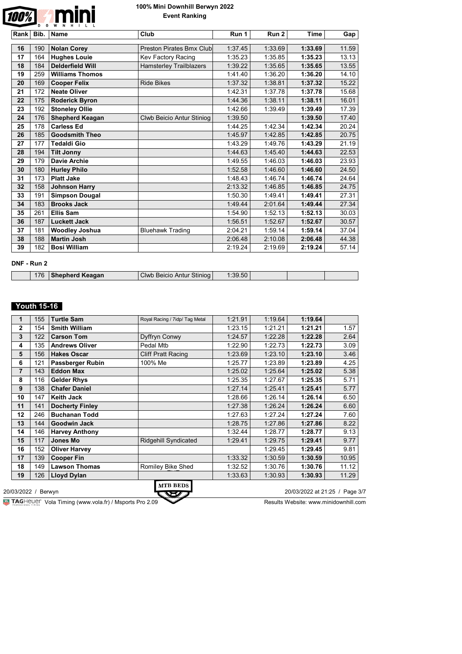

| Rank | Bib. | <b>Name</b>             | Club                           | Run 1   | Run 2   | <b>Time</b> | Gap   |
|------|------|-------------------------|--------------------------------|---------|---------|-------------|-------|
|      |      |                         |                                |         |         |             |       |
| 16   | 190  | <b>Nolan Corey</b>      | Preston Pirates Bmx Club       | 1:37.45 | 1:33.69 | 1:33.69     | 11.59 |
| 17   | 164  | <b>Hughes Louie</b>     | Kev Factory Racing             | 1:35.23 | 1:35.85 | 1:35.23     | 13.13 |
| 18   | 184  | <b>Delderfield Will</b> | <b>Hamsterley Trailblazers</b> | 1:39.22 | 1:35.65 | 1:35.65     | 13.55 |
| 19   | 259  | <b>Williams Thomos</b>  |                                | 1:41.40 | 1:36.20 | 1:36.20     | 14.10 |
| 20   | 169  | <b>Cooper Felix</b>     | <b>Ride Bikes</b>              | 1:37.32 | 1:38.81 | 1:37.32     | 15.22 |
| 21   | 172  | <b>Neate Oliver</b>     |                                | 1:42.31 | 1:37.78 | 1:37.78     | 15.68 |
| 22   | 175  | <b>Roderick Byron</b>   |                                | 1:44.36 | 1:38.11 | 1:38.11     | 16.01 |
| 23   | 192  | <b>Stoneley Ollie</b>   |                                | 1:42.66 | 1:39.49 | 1:39.49     | 17.39 |
| 24   | 176  | <b>Shepherd Keagan</b>  | Clwb Beicio Antur Stiniog      | 1:39.50 |         | 1:39.50     | 17.40 |
| 25   | 178  | <b>Carless Ed</b>       |                                | 1:44.25 | 1:42.34 | 1:42.34     | 20.24 |
| 26   | 185  | <b>Goodsmith Theo</b>   |                                | 1:45.97 | 1:42.85 | 1:42.85     | 20.75 |
| 27   | 177  | <b>Tedaldi Gio</b>      |                                | 1:43.29 | 1:49.76 | 1:43.29     | 21.19 |
| 28   | 194  | <b>Tilt Jonny</b>       |                                | 1:44.63 | 1:45.40 | 1:44.63     | 22.53 |
| 29   | 179  | <b>Davie Archie</b>     |                                | 1:49.55 | 1:46.03 | 1:46.03     | 23.93 |
| 30   | 180  | <b>Hurley Philo</b>     |                                | 1:52.58 | 1:46.60 | 1:46.60     | 24.50 |
| 31   | 173  | <b>Platt Jake</b>       |                                | 1:48.43 | 1:46.74 | 1:46.74     | 24.64 |
| 32   | 158  | <b>Johnson Harry</b>    |                                | 2:13.32 | 1:46.85 | 1:46.85     | 24.75 |
| 33   | 191  | <b>Simpson Dougal</b>   |                                | 1:50.30 | 1:49.41 | 1:49.41     | 27.31 |
| 34   | 183  | <b>Brooks Jack</b>      |                                | 1:49.44 | 2:01.64 | 1:49.44     | 27.34 |
| 35   | 261  | <b>Ellis Sam</b>        |                                | 1:54.90 | 1:52.13 | 1:52.13     | 30.03 |
| 36   | 187  | Luckett Jack            |                                | 1:56.51 | 1:52.67 | 1:52.67     | 30.57 |
| 37   | 181  | <b>Woodley Joshua</b>   | <b>Bluehawk Trading</b>        | 2:04.21 | 1:59.14 | 1:59.14     | 37.04 |
| 38   | 188  | <b>Martin Josh</b>      |                                | 2:06.48 | 2:10.08 | 2:06.48     | 44.38 |
| 39   | 182  | <b>Bosi William</b>     |                                | 2:19.24 | 2:19.69 | 2:19.24     | 57.14 |

#### **DNF - Run 2**

| 76<br>Keagan<br>`lwh<br><b>Stinior</b><br>™vb Beicio Antur<br>шен |  |  |  |  |
|-------------------------------------------------------------------|--|--|--|--|
|                                                                   |  |  |  |  |

#### **Youth 15-16**

| 155 | <b>Turtle Sam</b>      | Royal Racing / 7idp/ Tag Metal | 1:21.91 | 1:19.64 | 1:19.64 |       |
|-----|------------------------|--------------------------------|---------|---------|---------|-------|
| 154 | <b>Smith William</b>   |                                | 1:23.15 | 1:21.21 | 1:21.21 | 1.57  |
| 122 | <b>Carson Tom</b>      | Dyffryn Conwy                  | 1:24.57 | 1:22.28 | 1:22.28 | 2.64  |
| 135 | <b>Andrews Oliver</b>  | Pedal Mtb                      | 1:22.90 | 1:22.73 | 1:22.73 | 3.09  |
| 156 | <b>Hakes Oscar</b>     | <b>Cliff Pratt Racing</b>      | 1:23.69 | 1:23.10 | 1:23.10 | 3.46  |
| 121 | Passberger Rubin       | 100% Me                        | 1:25.77 | 1:23.89 | 1:23.89 | 4.25  |
| 143 | <b>Eddon Max</b>       |                                | 1:25.02 | 1:25.64 | 1:25.02 | 5.38  |
| 116 | <b>Gelder Rhys</b>     |                                | 1:25.35 | 1:27.67 | 1:25.35 | 5.71  |
| 138 | <b>Chafer Daniel</b>   |                                | 1:27.14 | 1:25.41 | 1:25.41 | 5.77  |
| 147 | <b>Keith Jack</b>      |                                | 1:28.66 | 1:26.14 | 1:26.14 | 6.50  |
| 141 | <b>Docherty Finley</b> |                                | 1:27.38 | 1:26.24 | 1:26.24 | 6.60  |
| 246 | <b>Buchanan Todd</b>   |                                | 1:27.63 | 1:27.24 | 1:27.24 | 7.60  |
| 144 | <b>Goodwin Jack</b>    |                                | 1:28.75 | 1:27.86 | 1:27.86 | 8.22  |
| 146 | <b>Harvey Anthony</b>  |                                | 1:32.44 | 1:28.77 | 1:28.77 | 9.13  |
| 117 | <b>Jones Mo</b>        | <b>Ridgehill Syndicated</b>    | 1:29.41 | 1:29.75 | 1:29.41 | 9.77  |
| 152 | <b>Oliver Harvey</b>   |                                |         | 1:29.45 | 1:29.45 | 9.81  |
| 139 | <b>Cooper Fin</b>      |                                | 1:33.32 | 1:30.59 | 1:30.59 | 10.95 |
| 149 | <b>Lawson Thomas</b>   | Romiley Bike Shed              | 1:32.52 | 1:30.76 | 1:30.76 | 11.12 |
| 126 | <b>Lloyd Dylan</b>     |                                | 1:33.63 | 1:30.93 | 1:30.93 | 11.29 |
|     |                        |                                |         |         |         |       |

**MTB BEDS** 

20/03/2022 / Berwyn 20/03/2022 at 21:25 / Page 3/7

**VOLAGE WEBSITE:** Vola Timing (www.vola.fr) / Msports Pro 2.09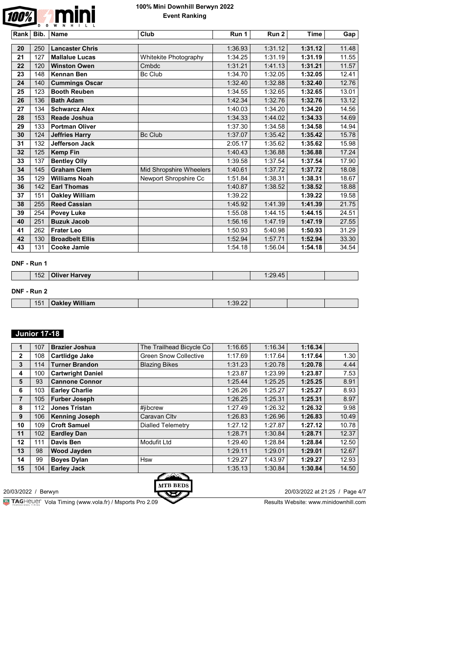

| Rank | Bib. | <b>Name</b>            | Club                    | Run 1   | Run 2   | <b>Time</b> | Gap   |
|------|------|------------------------|-------------------------|---------|---------|-------------|-------|
|      |      | <b>Lancaster Chris</b> |                         |         |         |             |       |
| 20   | 250  |                        |                         | 1:36.93 | 1:31.12 | 1:31.12     | 11.48 |
| 21   | 127  | <b>Mallalue Lucas</b>  | Whitekite Photography   | 1:34.25 | 1:31.19 | 1:31.19     | 11.55 |
| 22   | 120  | <b>Winston Owen</b>    | Cmbdc                   | 1:31.21 | 1:41.13 | 1:31.21     | 11.57 |
| 23   | 148  | <b>Kennan Ben</b>      | <b>Bc Club</b>          | 1:34.70 | 1:32.05 | 1:32.05     | 12.41 |
| 24   | 140  | <b>Cummings Oscar</b>  |                         | 1:32.40 | 1:32.88 | 1:32.40     | 12.76 |
| 25   | 123  | <b>Booth Reuben</b>    |                         | 1:34.55 | 1:32.65 | 1:32.65     | 13.01 |
| 26   | 136  | <b>Bath Adam</b>       |                         | 1:42.34 | 1:32.76 | 1:32.76     | 13.12 |
| 27   | 134  | <b>Schwarcz Alex</b>   |                         | 1:40.03 | 1:34.20 | 1:34.20     | 14.56 |
| 28   | 153  | Reade Joshua           |                         | 1:34.33 | 1:44.02 | 1:34.33     | 14.69 |
| 29   | 133  | <b>Portman Oliver</b>  |                         | 1:37.30 | 1:34.58 | 1:34.58     | 14.94 |
| 30   | 124  | <b>Jeffries Harry</b>  | <b>Bc Club</b>          | 1:37.07 | 1:35.42 | 1:35.42     | 15.78 |
| 31   | 132  | <b>Jefferson Jack</b>  |                         | 2:05.17 | 1:35.62 | 1:35.62     | 15.98 |
| 32   | 125  | <b>Kemp Fin</b>        |                         | 1:40.43 | 1:36.88 | 1:36.88     | 17.24 |
| 33   | 137  | <b>Bentley Olly</b>    |                         | 1:39.58 | 1:37.54 | 1:37.54     | 17.90 |
| 34   | 145  | <b>Graham Clem</b>     | Mid Shropshire Wheelers | 1:40.61 | 1:37.72 | 1:37.72     | 18.08 |
| 35   | 129  | <b>Williams Noah</b>   | Newport Shropshire Cc   | 1:51.84 | 1:38.31 | 1:38.31     | 18.67 |
| 36   | 142  | <b>Earl Thomas</b>     |                         | 1:40.87 | 1:38.52 | 1:38.52     | 18.88 |
| 37   | 151  | <b>Oakley William</b>  |                         | 1:39.22 |         | 1:39.22     | 19.58 |
| 38   | 255  | <b>Reed Cassian</b>    |                         | 1:45.92 | 1:41.39 | 1:41.39     | 21.75 |
| 39   | 254  | <b>Povey Luke</b>      |                         | 1:55.08 | 1:44.15 | 1:44.15     | 24.51 |
| 40   | 251  | <b>Buzuk Jacob</b>     |                         | 1:56.16 | 1:47.19 | 1:47.19     | 27.55 |
| 41   | 262  | <b>Frater Leo</b>      |                         | 1:50.93 | 5:40.98 | 1:50.93     | 31.29 |
| 42   | 130  | <b>Broadbelt Ellis</b> |                         | 1:52.94 | 1:57.71 | 1:52.94     | 33.30 |
| 43   | 131  | <b>Cooke Jamie</b>     |                         | 1:54.18 | 1:56.04 | 1:54.18     | 34.54 |

#### **DNF - Run 1**

| $\overline{AB}$<br>152 | . .<br>$-1$<br><b>Oliver Harvey</b> |  | $\Lambda$ <sub><math>\Gamma</math></sub><br>ററ |  |
|------------------------|-------------------------------------|--|------------------------------------------------|--|
|                        |                                     |  |                                                |  |

### **DNF - Run 2**

| 15 <sup>1</sup><br><u>чиннанн</u> | $-39.22$<br>$-1.1$ |  |  |
|-----------------------------------|--------------------|--|--|
|                                   |                    |  |  |

### **Junior 17-18**

| 1              | 107 | <b>Brazier Joshua</b>    | The Trailhead Bicycle Co     | 1:16.65 | 1:16.34 | 1:16.34 |       |
|----------------|-----|--------------------------|------------------------------|---------|---------|---------|-------|
| $\mathbf{2}$   | 108 | Cartlidge Jake           | <b>Green Snow Collective</b> | 1:17.69 | 1:17.64 | 1:17.64 | 1.30  |
| 3              | 114 | <b>Turner Brandon</b>    | <b>Blazing Bikes</b>         | 1:31.23 | 1:20.78 | 1:20.78 | 4.44  |
| 4              | 100 | <b>Cartwright Daniel</b> |                              | 1:23.87 | 1:23.99 | 1:23.87 | 7.53  |
| 5              | 93  | <b>Cannone Connor</b>    |                              | 1:25.44 | 1:25.25 | 1:25.25 | 8.91  |
| 6              | 103 | <b>Earley Charlie</b>    |                              | 1:26.26 | 1:25.27 | 1:25.27 | 8.93  |
| $\overline{7}$ | 105 | <b>Furber Joseph</b>     |                              | 1:26.25 | 1:25.31 | 1:25.31 | 8.97  |
| 8              | 112 | <b>Jones Tristan</b>     | #jibcrew                     | 1:27.49 | 1:26.32 | 1:26.32 | 9.98  |
| 9              | 106 | <b>Kenning Joseph</b>    | Caravan Clty                 | 1:26.83 | 1:26.96 | 1:26.83 | 10.49 |
| 10             | 109 | <b>Croft Samuel</b>      | <b>Dialled Telemetry</b>     | 1:27.12 | 1:27.87 | 1:27.12 | 10.78 |
| 11             | 102 | <b>Eardley Dan</b>       |                              | 1:28.71 | 1:30.84 | 1:28.71 | 12.37 |
| 12             | 111 | Davis Ben                | <b>Modufit Ltd</b>           | 1:29.40 | 1:28.84 | 1:28.84 | 12.50 |
| 13             | 98  | <b>Wood Jayden</b>       |                              | 1:29.11 | 1:29.01 | 1:29.01 | 12.67 |
| 14             | 99  | <b>Boyes Dylan</b>       | Hsw                          | 1:29.27 | 1:43.97 | 1:29.27 | 12.93 |
| 15             | 104 | <b>Earley Jack</b>       | $\sqrt{2}$                   | 1:35.13 | 1:30.84 | 1:30.84 | 14.50 |

**MTB BEDS** 

20/03/2022 / Berwyn 20/03/2022 at 21:25 / Page 4/7

**VOLAGE VOLA Timing (www.vola.fr) / Msports Pro 2.09**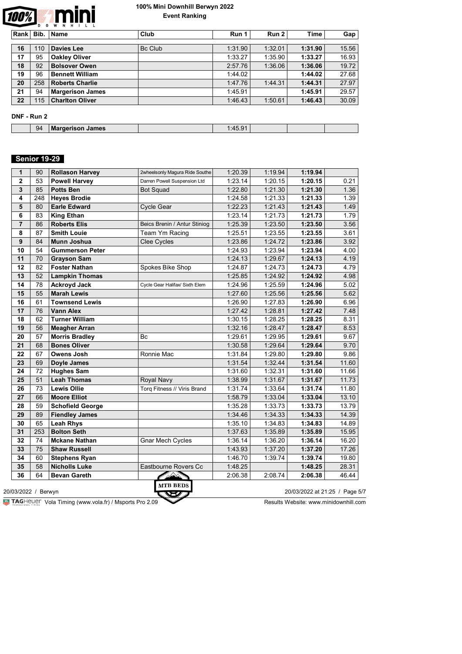

| <b>Rank</b> | Bib. | Name                    | Club    | Run 1   | Run 2   | Time    | Gap   |  |  |  |
|-------------|------|-------------------------|---------|---------|---------|---------|-------|--|--|--|
|             |      |                         |         |         |         |         |       |  |  |  |
| 16          | 110  | <b>Davies Lee</b>       | Bc Club | 1:31.90 | 1:32.01 | 1:31.90 | 15.56 |  |  |  |
| 17          | 95   | <b>Oakley Oliver</b>    |         | 1:33.27 | 1:35.90 | 1:33.27 | 16.93 |  |  |  |
| 18          | 92   | <b>Bolsover Owen</b>    |         | 2:57.76 | 1:36.06 | 1:36.06 | 19.72 |  |  |  |
| 19          | 96   | <b>Bennett William</b>  |         | 1:44.02 |         | 1:44.02 | 27.68 |  |  |  |
| 20          | 258  | <b>Roberts Charlie</b>  |         | 1:47.76 | 1:44.31 | 1:44.31 | 27.97 |  |  |  |
| 21          | 94   | <b>Margerison James</b> |         | 1:45.91 |         | 1:45.91 | 29.57 |  |  |  |
| 22          | 115  | <b>Charlton Oliver</b>  |         | 1:46.43 | 1:50.61 | 1:46.43 | 30.09 |  |  |  |
|             |      |                         |         |         |         |         |       |  |  |  |

#### **DNF - Run 2**

| 94<br>James<br>araarican<br>Mа<br>$\ddot{\phantom{0}}$ | n 4<br>. <i>. .</i> . |  |
|--------------------------------------------------------|-----------------------|--|
|--------------------------------------------------------|-----------------------|--|

# **Senior 19-29**

| 1              | 90  | <b>Rollason Harvey</b>  | 2wheelsonly Magura Ride Southe | 1:20.39 | 1:19.94 | 1:19.94 |       |
|----------------|-----|-------------------------|--------------------------------|---------|---------|---------|-------|
| $\mathbf{2}$   | 53  | <b>Powell Harvey</b>    | Darren Powell Suspension Ltd   | 1:23.14 | 1:20.15 | 1:20.15 | 0.21  |
| 3              | 85  | <b>Potts Ben</b>        | <b>Bot Squad</b>               | 1:22.80 | 1:21.30 | 1:21.30 | 1.36  |
| 4              | 248 | <b>Heves Brodie</b>     |                                | 1:24.58 | 1:21.33 | 1:21.33 | 1.39  |
| 5              | 80  | <b>Earle Edward</b>     | <b>Cycle Gear</b>              | 1:22.23 | 1:21.43 | 1:21.43 | 1.49  |
| 6              | 83  | <b>King Ethan</b>       |                                | 1:23.14 | 1:21.73 | 1:21.73 | 1.79  |
| $\overline{7}$ | 86  | <b>Roberts Elis</b>     | Beics Brenin / Antur Stiniog   | 1:25.39 | 1:23.50 | 1:23.50 | 3.56  |
| 8              | 87  | <b>Smith Louie</b>      | Team Ym Racing                 | 1:25.51 | 1:23.55 | 1:23.55 | 3.61  |
| 9              | 84  | Munn Joshua             | <b>Clee Cycles</b>             | 1:23.86 | 1:24.72 | 1:23.86 | 3.92  |
| 10             | 54  | <b>Gummerson Peter</b>  |                                | 1:24.93 | 1:23.94 | 1:23.94 | 4.00  |
| 11             | 70  | <b>Grayson Sam</b>      |                                | 1:24.13 | 1:29.67 | 1:24.13 | 4.19  |
| 12             | 82  | <b>Foster Nathan</b>    | Spokes Bike Shop               | 1:24.87 | 1:24.73 | 1:24.73 | 4.79  |
| 13             | 52  | <b>Lampkin Thomas</b>   |                                | 1:25.85 | 1:24.92 | 1:24.92 | 4.98  |
| 14             | 78  | <b>Ackroyd Jack</b>     | Cycle Gear Halifax/ Sixth Elem | 1:24.96 | 1:25.59 | 1:24.96 | 5.02  |
| 15             | 55  | <b>Marah Lewis</b>      |                                | 1:27.60 | 1:25.56 | 1:25.56 | 5.62  |
| 16             | 61  | <b>Townsend Lewis</b>   |                                | 1:26.90 | 1:27.83 | 1:26.90 | 6.96  |
| 17             | 76  | <b>Vann Alex</b>        |                                | 1:27.42 | 1:28.81 | 1:27.42 | 7.48  |
| 18             | 62  | <b>Turner William</b>   |                                | 1:30.15 | 1:28.25 | 1:28.25 | 8.31  |
| 19             | 56  | <b>Meagher Arran</b>    |                                | 1:32.16 | 1:28.47 | 1:28.47 | 8.53  |
| 20             | 57  | <b>Morris Bradley</b>   | Bc                             | 1:29.61 | 1:29.95 | 1:29.61 | 9.67  |
| 21             | 68  | <b>Bones Oliver</b>     |                                | 1:30.58 | 1:29.64 | 1:29.64 | 9.70  |
| 22             | 67  | <b>Owens Josh</b>       | Ronnie Mac                     | 1:31.84 | 1:29.80 | 1:29.80 | 9.86  |
| 23             | 69  | Doyle James             |                                | 1:31.54 | 1:32.44 | 1:31.54 | 11.60 |
| 24             | 72  | <b>Hughes Sam</b>       |                                | 1:31.60 | 1:32.31 | 1:31.60 | 11.66 |
| 25             | 51  | <b>Leah Thomas</b>      | Royal Navy                     | 1:38.99 | 1:31.67 | 1:31.67 | 11.73 |
| 26             | 73  | <b>Lewis Ollie</b>      | Torq Fitness // Viris Brand    | 1:31.74 | 1:33.64 | 1:31.74 | 11.80 |
| 27             | 66  | <b>Moore Elliot</b>     |                                | 1:58.79 | 1:33.04 | 1:33.04 | 13.10 |
| 28             | 59  | <b>Schofield George</b> |                                | 1:35.28 | 1:33.73 | 1:33.73 | 13.79 |
| 29             | 89  | <b>Fiendley James</b>   |                                | 1:34.46 | 1:34.33 | 1:34.33 | 14.39 |
| 30             | 65  | <b>Leah Rhys</b>        |                                | 1:35.10 | 1:34.83 | 1:34.83 | 14.89 |
| 31             | 253 | <b>Bolton Seth</b>      |                                | 1:37.63 | 1:35.89 | 1:35.89 | 15.95 |
| 32             | 74  | <b>Mckane Nathan</b>    | <b>Gnar Mech Cycles</b>        | 1:36.14 | 1:36.20 | 1:36.14 | 16.20 |
| 33             | 75  | <b>Shaw Russell</b>     |                                | 1:43.93 | 1:37.20 | 1:37.20 | 17.26 |
| 34             | 60  | <b>Stephens Ryan</b>    |                                | 1:46.70 | 1:39.74 | 1:39.74 | 19.80 |
| 35             | 58  | <b>Nicholls Luke</b>    | Eastbourne Rovers Cc           | 1:48.25 |         | 1:48.25 | 28.31 |
| 36             | 64  | <b>Bevan Gareth</b>     |                                | 2:06.38 | 2:08.74 | 2:06.38 | 46.44 |

**VOLAGE WEBSITE:** Vola Timing (www.vola.fr) / Msports Pro 2.09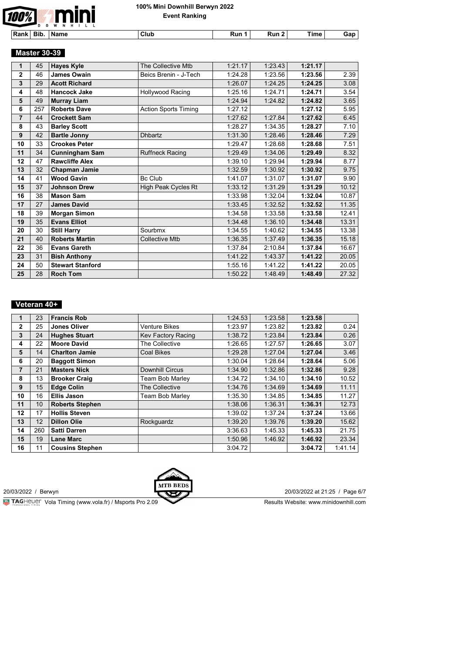

**Rank Bib. Name Club Run 1 Run 2 Time Gap**

 **Master 30-39** 

| 1              | 45  | <b>Hayes Kyle</b>       | The Collective Mtb          | 1:21.17 | 1:23.43 | 1:21.17 |       |
|----------------|-----|-------------------------|-----------------------------|---------|---------|---------|-------|
| $\overline{2}$ | 46  | <b>James Owain</b>      | Beics Brenin - J-Tech       | 1:24.28 | 1:23.56 | 1:23.56 | 2.39  |
| 3              | 29  | <b>Acott Richard</b>    |                             | 1:26.07 | 1:24.25 | 1:24.25 | 3.08  |
| 4              | 48  | <b>Hancock Jake</b>     | Hollywood Racing            | 1:25.16 | 1:24.71 | 1:24.71 | 3.54  |
| 5              | 49  | <b>Murray Liam</b>      |                             | 1:24.94 | 1:24.82 | 1:24.82 | 3.65  |
| 6              | 257 | <b>Roberts Dave</b>     | <b>Action Sports Timing</b> | 1:27.12 |         | 1:27.12 | 5.95  |
| $\overline{7}$ | 44  | <b>Crockett Sam</b>     |                             | 1:27.62 | 1:27.84 | 1:27.62 | 6.45  |
| 8              | 43  | <b>Barley Scott</b>     |                             | 1:28.27 | 1:34.35 | 1:28.27 | 7.10  |
| 9              | 42  | <b>Bartle Jonny</b>     | <b>Dhbartz</b>              | 1:31.30 | 1:28.46 | 1:28.46 | 7.29  |
| 10             | 33  | <b>Crookes Peter</b>    |                             | 1:29.47 | 1:28.68 | 1:28.68 | 7.51  |
| 11             | 34  | <b>Cunningham Sam</b>   | <b>Ruffneck Racing</b>      | 1:29.49 | 1:34.06 | 1:29.49 | 8.32  |
| 12             | 47  | <b>Rawcliffe Alex</b>   |                             | 1:39.10 | 1:29.94 | 1:29.94 | 8.77  |
| 13             | 32  | Chapman Jamie           |                             | 1:32.59 | 1:30.92 | 1:30.92 | 9.75  |
| 14             | 41  | <b>Wood Gavin</b>       | <b>Bc Club</b>              | 1:41.07 | 1:31.07 | 1:31.07 | 9.90  |
| 15             | 37  | <b>Johnson Drew</b>     | High Peak Cycles Rt         | 1:33.12 | 1:31.29 | 1:31.29 | 10.12 |
| 16             | 38  | <b>Mason Sam</b>        |                             | 1:33.98 | 1:32.04 | 1:32.04 | 10.87 |
| 17             | 27  | <b>James David</b>      |                             | 1:33.45 | 1:32.52 | 1:32.52 | 11.35 |
| 18             | 39  | <b>Morgan Simon</b>     |                             | 1:34.58 | 1:33.58 | 1:33.58 | 12.41 |
| 19             | 35  | <b>Evans Elliot</b>     |                             | 1:34.48 | 1:36.10 | 1:34.48 | 13.31 |
| 20             | 30  | <b>Still Harry</b>      | Sourbmx                     | 1:34.55 | 1:40.62 | 1:34.55 | 13.38 |
| 21             | 40  | <b>Roberts Martin</b>   | <b>Collective Mtb</b>       | 1:36.35 | 1:37.49 | 1:36.35 | 15.18 |
| 22             | 36  | <b>Evans Gareth</b>     |                             | 1:37.84 | 2:10.84 | 1:37.84 | 16.67 |
| 23             | 31  | <b>Bish Anthony</b>     |                             | 1:41.22 | 1:43.37 | 1:41.22 | 20.05 |
| 24             | 50  | <b>Stewart Stanford</b> |                             | 1:55.16 | 1:41.22 | 1:41.22 | 20.05 |
| 25             | 28  | <b>Roch Tom</b>         |                             | 1:50.22 | 1:48.49 | 1:48.49 | 27.32 |

### **Veteran 40+**

|                | 23  | <b>Francis Rob</b>     |                        | 1:24.53 | 1:23.58 | 1:23.58 |         |
|----------------|-----|------------------------|------------------------|---------|---------|---------|---------|
|                |     |                        |                        |         |         |         |         |
| $\overline{2}$ | 25  | Jones Oliver           | <b>Venture Bikes</b>   | 1:23.97 | 1:23.82 | 1:23.82 | 0.24    |
| 3              | 24  | <b>Hughes Stuart</b>   | Kev Factory Racing     | 1:38.72 | 1:23.84 | 1:23.84 | 0.26    |
| 4              | 22  | <b>Moore David</b>     | The Collective         | 1:26.65 | 1:27.57 | 1:26.65 | 3.07    |
| 5              | 14  | <b>Charlton Jamie</b>  | Coal Bikes             | 1:29.28 | 1:27.04 | 1:27.04 | 3.46    |
| 6              | 20  | <b>Baggott Simon</b>   |                        | 1:30.04 | 1:28.64 | 1:28.64 | 5.06    |
| $\overline{7}$ | 21  | <b>Masters Nick</b>    | <b>Downhill Circus</b> | 1:34.90 | 1:32.86 | 1:32.86 | 9.28    |
| 8              | 13  | <b>Brooker Craig</b>   | Team Bob Marley        | 1:34.72 | 1:34.10 | 1:34.10 | 10.52   |
| 9              | 15  | <b>Edge Colin</b>      | The Collective         | 1:34.76 | 1:34.69 | 1:34.69 | 11.11   |
| 10             | 16  | <b>Ellis Jason</b>     | Team Bob Marley        | 1:35.30 | 1:34.85 | 1:34.85 | 11.27   |
| 11             | 10  | <b>Roberts Stephen</b> |                        | 1:38.06 | 1:36.31 | 1:36.31 | 12.73   |
| 12             | 17  | <b>Hollis Steven</b>   |                        | 1:39.02 | 1:37.24 | 1:37.24 | 13.66   |
| 13             | 12  | <b>Dillon Olie</b>     | Rockguardz             | 1:39.20 | 1:39.76 | 1:39.20 | 15.62   |
| 14             | 260 | <b>Satti Darren</b>    |                        | 3:36.63 | 1:45.33 | 1:45.33 | 21.75   |
| 15             | 19  | <b>Lane Marc</b>       |                        | 1:50.96 | 1:46.92 | 1:46.92 | 23.34   |
| 16             | 11  | <b>Cousins Stephen</b> |                        | 3:04.72 |         | 3:04.72 | 1:41.14 |



20/03/2022 / Berwyn 20/03/2022 at 21:25 / Page 6/7

**Vola Timing (www.vola.fr) / Msports Pro 2.09**